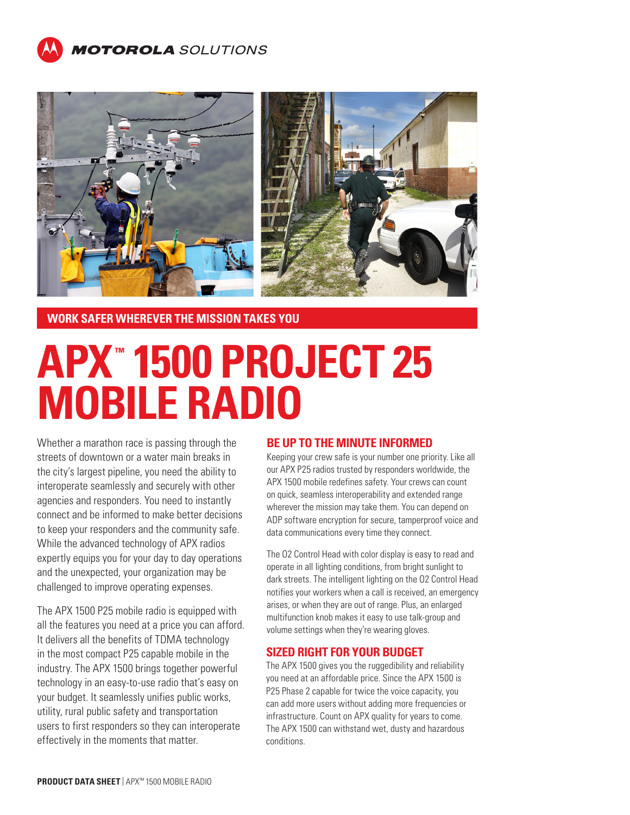



**WORK SAFER WHEREVER THE MISSION TAKES YOU**

# **APX ™ 1500 PROJECT 25 MOBILE RADIO**

Whether a marathon race is passing through the streets of downtown or a water main breaks in the city's largest pipeline, you need the ability to interoperate seamlessly and securely with other agencies and responders. You need to instantly connect and be informed to make better decisions to keep your responders and the community safe. While the advanced technology of APX radios expertly equips you for your day to day operations and the unexpected, your organization may be challenged to improve operating expenses.

The APX 1500 P25 mobile radio is equipped with all the features you need at a price you can afford. It delivers all the benefits of TDMA technology in the most compact P25 capable mobile in the industry. The APX 1500 brings together powerful technology in an easy-to-use radio that's easy on your budget. It seamlessly unifies public works, utility, rural public safety and transportation users to first responders so they can interoperate effectively in the moments that matter.

## **BE UP TO THE MINUTE INFORMED**

Keeping your crew safe is your number one priority. Like all our APX P25 radios trusted by responders worldwide, the APX 1500 mobile redefines safety. Your crews can count on quick, seamless interoperability and extended range wherever the mission may take them. You can depend on ADP software encryption for secure, tamperproof voice and data communications every time they connect.

The O2 Control Head with color display is easy to read and operate in all lighting conditions, from bright sunlight to dark streets. The intelligent lighting on the O2 Control Head notifies your workers when a call is received, an emergency arises, or when they are out of range. Plus, an enlarged multifunction knob makes it easy to use talk-group and volume settings when they're wearing gloves.

## **SIZED RIGHT FOR YOUR BUDGET**

The APX 1500 gives you the ruggedibility and reliability you need at an affordable price. Since the APX 1500 is P25 Phase 2 capable for twice the voice capacity, you can add more users without adding more frequencies or infrastructure. Count on APX quality for years to come. The APX 1500 can withstand wet, dusty and hazardous conditions.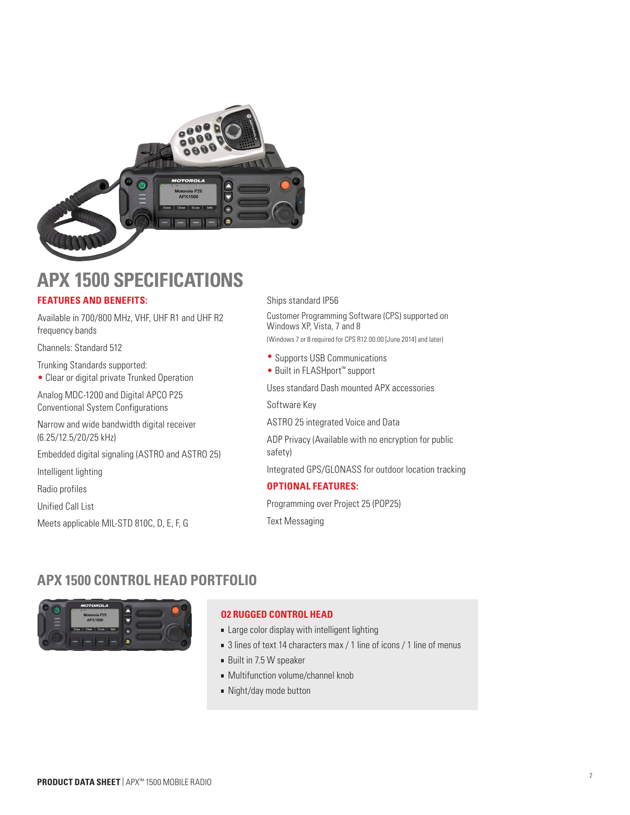

## **APX 1500 SPECIFICATIONS**

## **FEATURES AND BENEFITS:**

Available in 700/800 MHz, VHF, UHF R1 and UHF R2 frequency bands

Channels: Standard 512

Trunking Standards supported:

• Clear or digital private Trunked Operation

Analog MDC-1200 and Digital APCO P25 Conventional System Configurations

Narrow and wide bandwidth digital receiver (6.25/12.5/20/25 kHz)

Embedded digital signaling (ASTRO and ASTRO 25)

Intelligent lighting

Radio profiles

Unified Call List

Meets applicable MIL-STD 810C, D, E, F, G

Ships standard IP56

Customer Programming Software (CPS) supported on Windows XP, Vista, 7 and 8 (Windows 7 or 8 required for CPS R12.00.00 [June 2014] and later)

- Supports USB Communications
- Built in FLASHport™ support

Uses standard Dash mounted APX accessories

Software Key

ASTRO 25 integrated Voice and Data

ADP Privacy (Available with no encryption for public safety)

Integrated GPS/GLONASS for outdoor location tracking

## **OPTIONAL FEATURES:**

Programming over Project 25 (POP25) Text Messaging

## **APX 1500 CONTROL HEAD PORTFOLIO**



## **O2 RUGGED CONTROL HEAD**

- **Example 2** Large color display with intelligent lighting
- 3 lines of text 14 characters max / 1 line of icons / 1 line of menus
- Built in 7.5 W speaker
- **Multifunction volume/channel knob**
- Night/day mode button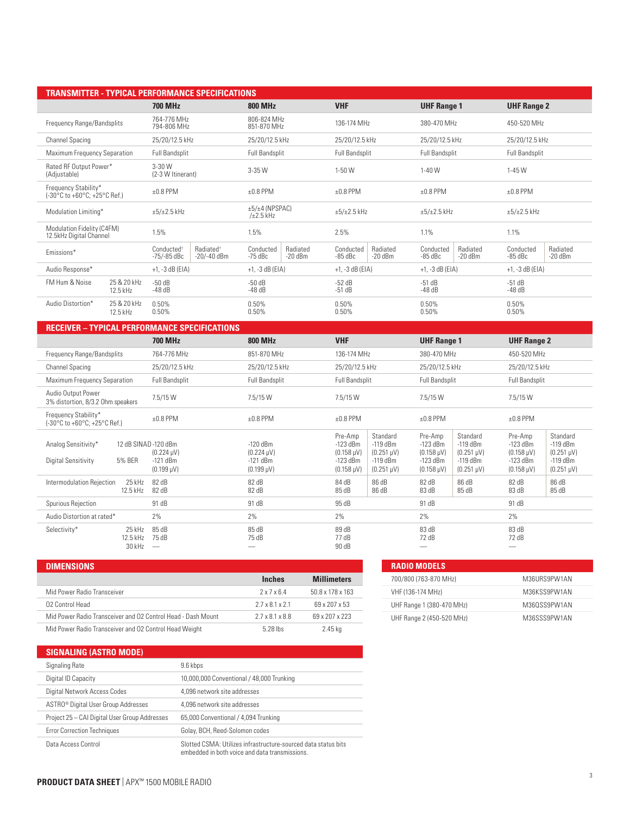| <b>TRANSMITTER - TYPICAL PERFORMANCE SPECIFICATIONS</b> |                                                                               |                                                 |                                                 |                                               |                                               |  |  |
|---------------------------------------------------------|-------------------------------------------------------------------------------|-------------------------------------------------|-------------------------------------------------|-----------------------------------------------|-----------------------------------------------|--|--|
|                                                         | <b>700 MHz</b>                                                                | <b>800 MHz</b>                                  | <b>VHF</b>                                      | <b>UHF Range 1</b>                            | <b>UHF Range 2</b>                            |  |  |
| Frequency Range/Bandsplits                              | 764-776 MHz<br>794-806 MHz                                                    | 806-824 MHz<br>851-870 MHz                      | 136-174 MHz                                     | 380-470 MHz                                   | 450-520 MHz                                   |  |  |
| <b>Channel Spacing</b>                                  | 25/20/12.5 kHz                                                                | 25/20/12.5 kHz                                  | 25/20/12.5 kHz                                  | 25/20/12.5 kHz                                | 25/20/12.5 kHz                                |  |  |
| Maximum Frequency Separation                            | Full Bandsplit                                                                | <b>Full Bandsplit</b>                           | Full Bandsplit                                  | <b>Full Bandsplit</b>                         | <b>Full Bandsplit</b>                         |  |  |
| Rated RF Output Power*<br>(Adjustable)                  | $3 - 30$ W<br>(2-3 W Itinerant)                                               | 3-35W                                           | 1-50W                                           | $1-40$ W                                      | $1 - 45W$                                     |  |  |
| Frequency Stability*<br>(-30°C to +60°C; +25°C Ref.)    | $±0.8$ PPM                                                                    | $±0.8$ PPM                                      | $±0.8$ PPM                                      | $±0.8$ PPM                                    | $±0.8$ PPM                                    |  |  |
| Modulation Limiting*                                    | $\pm 5/\pm 2.5$ kHz                                                           | $\pm 5/\pm 4$ (NPSPAC)<br>$/\pm 2.5$ kHz        | $\pm 5/\pm 2.5$ kHz                             | $\pm 5/\pm 2.5$ kHz                           | $\pm 5/\pm 2.5$ kHz                           |  |  |
| Modulation Fidelity (C4FM)<br>12.5kHz Digital Channel   | 1.5%                                                                          | 1.5%                                            | 2.5%                                            | 1.1%                                          | 1.1%                                          |  |  |
| Emissions*                                              | Radiated <sup>®</sup><br>Conducted <sup>+</sup><br>-75/-85 dBc<br>-20/-40 dBm | Radiated<br>Conducted<br>$-75$ dBc<br>$-20$ dBm | Radiated<br>Conducted<br>$-20$ dBm<br>$-85$ dBc | Radiated<br>Conducted<br>$-20$ dBm<br>-85 dBc | Conducted<br>Radiated<br>$-20$ dBm<br>-85 dBc |  |  |
| Audio Response*                                         | $+1, -3$ dB (EIA)                                                             | $+1, -3$ dB (EIA)                               |                                                 | $+1, -3$ dB (EIA)                             | $+1, -3$ dB (EIA)                             |  |  |
| FM Hum & Noise<br>25 & 20 kHz<br>12.5 kHz               | $-50dB$<br>$-48dB$                                                            | $-50dB$<br>$-48dB$                              | $-52dB$<br>$-51$ dB                             | $-51$ dB<br>$-48dB$                           | $-51$ dB<br>$-48dB$                           |  |  |
| Audio Distortion*<br>25 & 20 kHz<br>12.5 kHz            | 0.50%<br>0.50%<br>0.50%<br>0.50%                                              |                                                 | 0.50%<br>0.50%                                  | 0.50%<br>0.50%                                | 0.50%<br>0.50%                                |  |  |

| RECEIVER – TYPICAL PERFORMANCE SPECIFICATIONS           |                                                                                 |                                                                                          |                                                                                                                                                                   |                                                                                                                                                                                   |                                                                                                                                                                                |  |
|---------------------------------------------------------|---------------------------------------------------------------------------------|------------------------------------------------------------------------------------------|-------------------------------------------------------------------------------------------------------------------------------------------------------------------|-----------------------------------------------------------------------------------------------------------------------------------------------------------------------------------|--------------------------------------------------------------------------------------------------------------------------------------------------------------------------------|--|
|                                                         | <b>700 MHz</b>                                                                  | <b>800 MHz</b>                                                                           | <b>VHF</b>                                                                                                                                                        | <b>UHF Range 1</b>                                                                                                                                                                | <b>UHF Range 2</b>                                                                                                                                                             |  |
| Frequency Range/Bandsplits                              | 764-776 MHz                                                                     | 851-870 MHz                                                                              | 136-174 MHz                                                                                                                                                       | 380-470 MHz                                                                                                                                                                       | 450-520 MHz                                                                                                                                                                    |  |
| <b>Channel Spacing</b>                                  | 25/20/12.5 kHz                                                                  | 25/20/12.5 kHz                                                                           | 25/20/12.5 kHz                                                                                                                                                    | 25/20/12.5 kHz                                                                                                                                                                    | 25/20/12.5 kHz                                                                                                                                                                 |  |
| Maximum Frequency Separation                            | <b>Full Bandsplit</b>                                                           | <b>Full Bandsplit</b>                                                                    | <b>Full Bandsplit</b>                                                                                                                                             | <b>Full Bandsplit</b>                                                                                                                                                             | <b>Full Bandsplit</b>                                                                                                                                                          |  |
| Audio Output Power<br>3% distortion, 8/3.2 Ohm speakers | 7.5/15W                                                                         | 7.5/15 W                                                                                 | 7.5/15 W                                                                                                                                                          | 7.5/15 W                                                                                                                                                                          | 7.5/15 W                                                                                                                                                                       |  |
| Frequency Stability*<br>(-30°C to +60°C; +25°C Ref.)    | $±0.8$ PPM                                                                      | $±0.8$ PPM                                                                               | $±0.8$ PPM                                                                                                                                                        | $±0.8$ PPM                                                                                                                                                                        | $±0.8$ PPM                                                                                                                                                                     |  |
| Analog Sensitivity*<br>Digital Sensitivity<br>5% BER    | 12 dB SINAD-120 dBm<br>$(0.224 \,\text{µV})$<br>$-121$ dBm<br>$(0.199 \,\mu V)$ | $-120$ dBm<br>$(0.224 \,\mathrm{\upmu V})$<br>$-121$ dBm<br>$(0.199 \,\mathrm{\upmu V})$ | Standard<br>Pre-Amp<br>$-123$ dBm<br>-119 dBm<br>$(0.158 \,\text{µV})$<br>$(0.251 \,\mu V)$<br>$-123$ dBm<br>$-119$ dBm<br>$(0.251 \,\mu V)$<br>$(0.158 \,\mu V)$ | Pre-Amp<br>Standard<br>$-119$ dBm<br>$-123$ dBm<br>$(0.251 \,\mathrm{\upmu V})$<br>$(0.158 \text{ µV})$<br>$-119$ dBm<br>$-123$ dBm<br>$(0.251 \,\mu V)$<br>$(0.158 \,\text{µV})$ | Standard<br>Pre-Amp<br>$-123$ dBm<br>$-119$ dBm<br>$(0.251 \,\mu V)$<br>$(0.158 \,\text{µV})$<br>$-119$ dBm<br>$-123$ dBm<br>$(0.251 \,\mu V)$<br>$(0.158 \,\mathrm{\upmu V})$ |  |
| Intermodulation Rejection<br>25 kHz<br>12.5 kHz         | 82 dB<br>82 dB                                                                  | 82 dB<br>82 dB                                                                           | 86 dB<br>84 dB<br>86 dB<br>85 dB                                                                                                                                  | 86 dB<br>82 dB<br>85 dB<br>83 dB                                                                                                                                                  | 86 dB<br>82 dB<br>85 dB<br>83 dB                                                                                                                                               |  |
| Spurious Rejection                                      | 91 dB                                                                           | 91 dB                                                                                    | 95 dB                                                                                                                                                             | 91 dB                                                                                                                                                                             | 91 dB                                                                                                                                                                          |  |
| Audio Distortion at rated*                              | 2%                                                                              | 2%                                                                                       | 2%                                                                                                                                                                | 2%                                                                                                                                                                                | 2%                                                                                                                                                                             |  |
| Selectivity*<br>25 kHz<br>12.5 kHz<br>30 kHz            | 85 dB<br>75 dB<br>$\hspace{0.1mm}-\hspace{0.1mm}$                               | 85 dB<br>75 dB                                                                           | 89 dB<br>77 dB<br>90 dB                                                                                                                                           | 83 dB<br>72 dB<br>--                                                                                                                                                              | 83 dB<br>72 dB<br>--                                                                                                                                                           |  |

| <b>DIMENSIONS</b>                                            |                             |                    |
|--------------------------------------------------------------|-----------------------------|--------------------|
|                                                              | <b>Inches</b>               | <b>Millimeters</b> |
| Mid Power Radio Transceiver                                  | 2x7x64                      | 50.8 x 178 x 163   |
| 02 Control Head                                              | $2.7 \times 8.1 \times 2.1$ | 69 x 207 x 53      |
| Mid Power Radio Transceiver and O2 Control Head - Dash Mount | 2.7 x 8.1 x 8.8             | 69 x 207 x 223     |
| Mid Power Radio Transceiver and 02 Control Head Weight       | 5 28 lbs                    | 2.45 kg            |

| <b>RADIO MODELS</b>       |              |
|---------------------------|--------------|
| 700/800 (763-870 MHz)     | M36URS9PW1AN |
| VHF (136-174 MHz)         | M36KSS9PW1AN |
| UHF Range 1 (380-470 MHz) | M360SS9PW1AN |
| UHF Range 2 (450-520 MHz) | M36SSS9PW1AN |

## **SIGNALING (ASTRO MODE)**

| Signaling Rate                                  | 9.6 kbps                                                                                                         |
|-------------------------------------------------|------------------------------------------------------------------------------------------------------------------|
| Digital ID Capacity                             | 10,000,000 Conventional / 48,000 Trunking                                                                        |
| Digital Network Access Codes                    | 4.096 network site addresses                                                                                     |
| ASTRO <sup>®</sup> Digital User Group Addresses | 4.096 network site addresses                                                                                     |
| Project 25 - CAI Digital User Group Addresses   | 65,000 Conventional / 4,094 Trunking                                                                             |
| <b>Error Correction Techniques</b>              | Golay, BCH, Reed-Solomon codes                                                                                   |
| Data Access Control                             | Slotted CSMA: Utilizes infrastructure-sourced data status bits<br>embedded in both voice and data transmissions. |